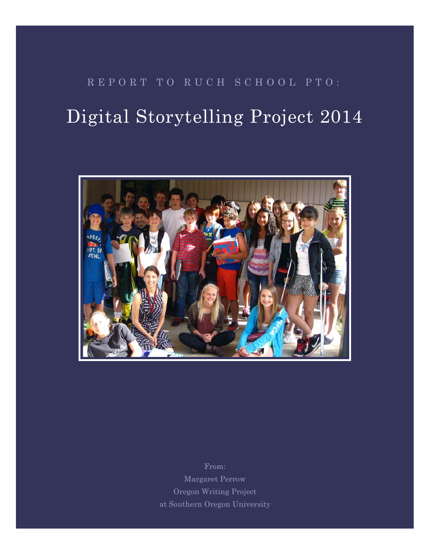## REPORT TO RUCH SCHOOL PTO:

# Digital Storytelling Project 2014



From: Margaret Perrow Oregon Writing Project at Southern Oregon University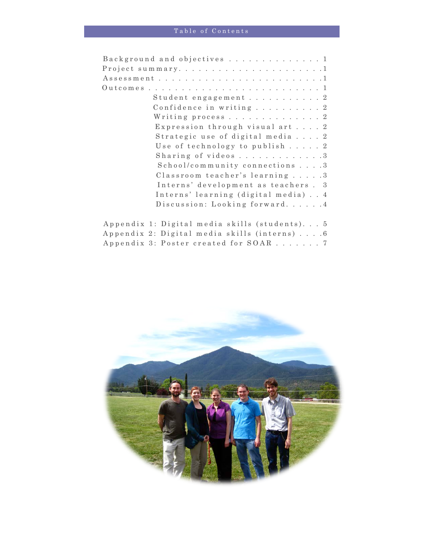| Background and objectives 1                   |
|-----------------------------------------------|
|                                               |
|                                               |
|                                               |
| Student engagement 2                          |
| Confidence in writing 2                       |
| Writing process 2                             |
| Expression through visual art 2               |
| Strategic use of digital media 2              |
| Use of technology to publish 2                |
| Sharing of videos3                            |
| School/community connections 3                |
| Classroom teacher's learning 3                |
| Interns' development as teachers. 3           |
| Interns' learning (digital media) 4           |
| Discussion: Looking forward4                  |
|                                               |
| Appendix 1: Digital media skills (students) 5 |
| Appendix 2: Digital media skills (interns) 6  |
| Appendix 3: Poster created for SOAR 7         |

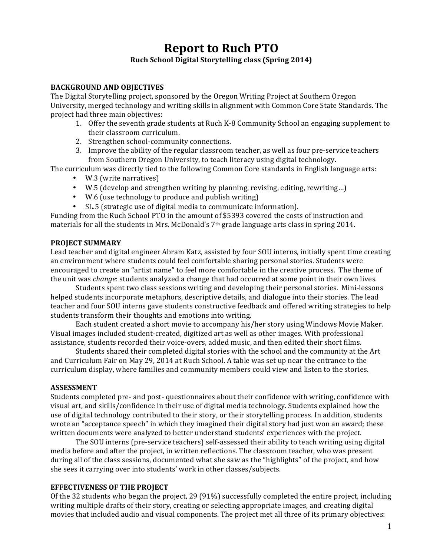## **Report to Ruch PTO Ruch School Digital Storytelling class (Spring 2014)**

#### **BACKGROUND AND OBIECTIVES**

The Digital Storytelling project, sponsored by the Oregon Writing Project at Southern Oregon University, merged technology and writing skills in alignment with Common Core State Standards. The project had three main objectives:

- 1. Offer the seventh grade students at Ruch K-8 Community School an engaging supplement to their classroom curriculum.
- 2. Strengthen school-community connections.
- 3. Improve the ability of the regular classroom teacher, as well as four pre-service teachers from Southern Oregon University, to teach literacy using digital technology.

The curriculum was directly tied to the following Common Core standards in English language arts:

- W.3 (write narratives)
- W.5 (develop and strengthen writing by planning, revising, editing, rewriting...)
- W.6 (use technology to produce and publish writing)
- SL.5 (strategic use of digital media to communicate information).

Funding from the Ruch School PTO in the amount of \$5393 covered the costs of instruction and materials for all the students in Mrs. McDonald's  $7<sup>th</sup>$  grade language arts class in spring 2014.

#### **PROJECT SUMMARY**

Lead teacher and digital engineer Abram Katz, assisted by four SOU interns, initially spent time creating an environment where students could feel comfortable sharing personal stories. Students were encouraged to create an "artist name" to feel more comfortable in the creative process. The theme of the unit was *change*: students analyzed a change that had occurred at some point in their own lives.

Students spent two class sessions writing and developing their personal stories. Mini-lessons helped students incorporate metaphors, descriptive details, and dialogue into their stories. The lead teacher and four SOU interns gave students constructive feedback and offered writing strategies to help students transform their thoughts and emotions into writing.

Each student created a short movie to accompany his/her story using Windows Movie Maker. Visual images included student-created, digitized art as well as other images. With professional assistance, students recorded their voice-overs, added music, and then edited their short films.

Students shared their completed digital stories with the school and the community at the Art and Curriculum Fair on May 29, 2014 at Ruch School. A table was set up near the entrance to the curriculum display, where families and community members could view and listen to the stories.

#### **ASSESSMENT**

Students completed pre- and post- questionnaires about their confidence with writing, confidence with visual art, and skills/confidence in their use of digital media technology. Students explained how the use of digital technology contributed to their story, or their storytelling process. In addition, students wrote an "acceptance speech" in which they imagined their digital story had just won an award; these written documents were analyzed to better understand students' experiences with the project.

The SOU interns (pre-service teachers) self-assessed their ability to teach writing using digital media before and after the project, in written reflections. The classroom teacher, who was present during all of the class sessions, documented what she saw as the "highlights" of the project, and how she sees it carrying over into students' work in other classes/subjects.

#### **EFFECTIVENESS OF THE PROJECT**

Of the 32 students who began the project, 29 (91%) successfully completed the entire project, including writing multiple drafts of their story, creating or selecting appropriate images, and creating digital movies that included audio and visual components. The project met all three of its primary objectives: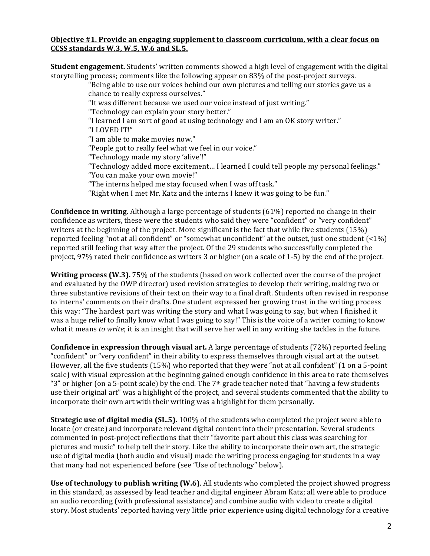#### **Objective #1. Provide an engaging supplement to classroom curriculum, with a clear focus on CCSS standards W.3, W.5, W.6 and SL.5.**

**Student engagement.** Students' written comments showed a high level of engagement with the digital storytelling process; comments like the following appear on 83% of the post-project surveys.

"Being able to use our voices behind our own pictures and telling our stories gave us a chance to really express ourselves."

"It was different because we used our voice instead of just writing."

"Technology can explain your story better."

"I learned I am sort of good at using technology and I am an OK story writer."

"I LOVED IT!"

"I am able to make movies now."

"People got to really feel what we feel in our voice."

"Technology made my story 'alive'!"

"Technology added more excitement... I learned I could tell people my personal feelings."

"You can make your own movie!"

"The interns helped me stay focused when I was off task."

"Right when I met Mr. Katz and the interns I knew it was going to be fun."

**Confidence in writing.** Although a large percentage of students (61%) reported no change in their confidence as writers, these were the students who said they were "confident" or "very confident" writers at the beginning of the project. More significant is the fact that while five students  $(15%)$ reported feeling "not at all confident" or "somewhat unconfident" at the outset, just one student  $\left[$  < 1%) reported still feeling that way after the project. Of the 29 students who successfully completed the project, 97% rated their confidence as writers 3 or higher (on a scale of 1-5) by the end of the project.

**Writing process (W.3).** 75% of the students (based on work collected over the course of the project and evaluated by the OWP director) used revision strategies to develop their writing, making two or three substantive revisions of their text on their way to a final draft. Students often revised in response to interns' comments on their drafts. One student expressed her growing trust in the writing process this way: "The hardest part was writing the story and what I was going to say, but when I finished it was a huge relief to finally know what I was going to say!" This is the voice of a writer coming to know what it means *to write*; it is an insight that will serve her well in any writing she tackles in the future.

**Confidence in expression through visual art.** A large percentage of students (72%) reported feeling "confident" or "very confident" in their ability to express themselves through visual art at the outset. However, all the five students  $(15%)$  who reported that they were "not at all confident"  $(1 \text{ on a 5-point})$ scale) with visual expression at the beginning gained enough confidence in this area to rate themselves "3" or higher (on a 5-point scale) by the end. The  $7<sup>th</sup>$  grade teacher noted that "having a few students use their original art" was a highlight of the project, and several students commented that the ability to incorporate their own art with their writing was a highlight for them personally.

**Strategic use of digital media (SL.5).** 100% of the students who completed the project were able to locate (or create) and incorporate relevant digital content into their presentation. Several students commented in post-project reflections that their "favorite part about this class was searching for pictures and music" to help tell their story. Like the ability to incorporate their own art, the strategic use of digital media (both audio and visual) made the writing process engaging for students in a way that many had not experienced before (see "Use of technology" below).

**Use of technology to publish writing (W.6).** All students who completed the project showed progress in this standard, as assessed by lead teacher and digital engineer Abram Katz; all were able to produce an audio recording (with professional assistance) and combine audio with video to create a digital story. Most students' reported having very little prior experience using digital technology for a creative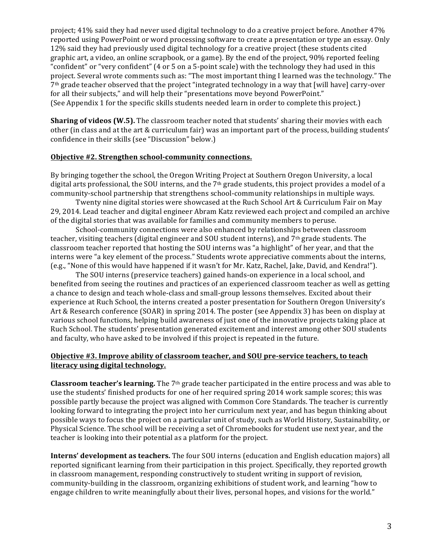project; 41% said they had never used digital technology to do a creative project before. Another 47% reported using PowerPoint or word processing software to create a presentation or type an essay. Only 12% said they had previously used digital technology for a creative project (these students cited graphic art, a video, an online scrapbook, or a game). By the end of the project, 90% reported feeling "confident" or "very confident" (4 or 5 on a 5-point scale) with the technology they had used in this project. Several wrote comments such as: "The most important thing I learned was the technology." The  $7<sup>th</sup>$  grade teacher observed that the project "integrated technology in a way that [will have] carry-over for all their subjects," and will help their "presentations move beyond PowerPoint." (See Appendix 1 for the specific skills students needed learn in order to complete this project.)

**Sharing of videos (W.5).** The classroom teacher noted that students' sharing their movies with each other (in class and at the art & curriculum fair) was an important part of the process, building students' confidence in their skills (see "Discussion" below.)

#### **Objective #2. Strengthen school-community connections.**

By bringing together the school, the Oregon Writing Project at Southern Oregon University, a local digital arts professional, the SOU interns, and the  $7<sup>th</sup>$  grade students, this project provides a model of a community-school partnership that strengthens school-community relationships in multiple ways.

Twenty nine digital stories were showcased at the Ruch School Art & Curriculum Fair on May 29, 2014. Lead teacher and digital engineer Abram Katz reviewed each project and compiled an archive of the digital stories that was available for families and community members to peruse.

School-community connections were also enhanced by relationships between classroom teacher, visiting teachers (digital engineer and SOU student interns), and 7<sup>th</sup> grade students. The classroom teacher reported that hosting the SOU interns was "a highlight" of her year, and that the interns were "a key element of the process." Students wrote appreciative comments about the interns, (e.g., "None of this would have happened if it wasn't for Mr. Katz, Rachel, Jake, David, and Kendra!").

The SOU interns (preservice teachers) gained hands-on experience in a local school, and benefited from seeing the routines and practices of an experienced classroom teacher as well as getting a chance to design and teach whole-class and small-group lessons themselves. Excited about their experience at Ruch School, the interns created a poster presentation for Southern Oregon University's Art & Research conference (SOAR) in spring 2014. The poster (see Appendix 3) has been on display at various school functions, helping build awareness of just one of the innovative projects taking place at Ruch School. The students' presentation generated excitement and interest among other SOU students and faculty, who have asked to be involved if this project is repeated in the future.

#### **Objective #3. Improve ability of classroom teacher, and SOU pre-service teachers, to teach literacy using digital technology.**

**Classroom teacher's learning.** The 7<sup>th</sup> grade teacher participated in the entire process and was able to use the students' finished products for one of her required spring 2014 work sample scores; this was possible partly because the project was aligned with Common Core Standards. The teacher is currently looking forward to integrating the project into her curriculum next year, and has begun thinking about possible ways to focus the project on a particular unit of study, such as World History, Sustainability, or Physical Science. The school will be receiving a set of Chromebooks for student use next year, and the teacher is looking into their potential as a platform for the project.

**Interns' development as teachers.** The four SOU interns (education and English education majors) all reported significant learning from their participation in this project. Specifically, they reported growth in classroom management, responding constructively to student writing in support of revision, community-building in the classroom, organizing exhibitions of student work, and learning "how to engage children to write meaningfully about their lives, personal hopes, and visions for the world."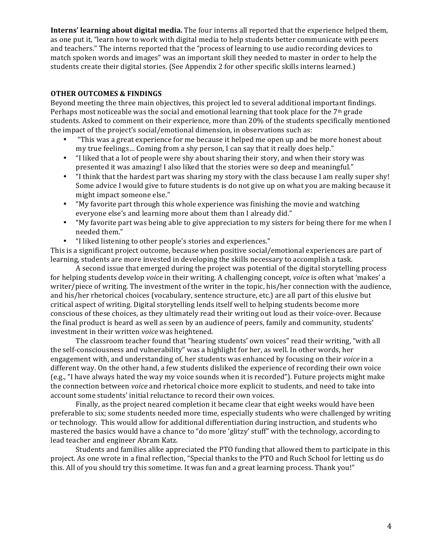**Interns' learning about digital media.** The four interns all reported that the experience helped them, as one put it, "learn how to work with digital media to help students better communicate with peers and teachers." The interns reported that the "process of learning to use audio recording devices to match spoken words and images" was an important skill they needed to master in order to help the students create their digital stories. (See Appendix 2 for other specific skills interns learned.)

#### **OTHER OUTCOMES & FINDINGS**

Beyond meeting the three main objectives, this project led to several additional important findings. Perhaps most noticeable was the social and emotional learning that took place for the  $7<sup>th</sup>$  grade students. Asked to comment on their experience, more than 20% of the students specifically mentioned the impact of the project's social/emotional dimension, in observations such as:

- "This was a great experience for me because it helped me open up and be more honest about my true feelings... Coming from a shy person, I can say that it really does help."
- "I liked that a lot of people were shy about sharing their story, and when their story was presented it was amazing! I also liked that the stories were so deep and meaningful."
- "I think that the hardest part was sharing my story with the class because I am really super shy! Some advice I would give to future students is do not give up on what you are making because it might impact someone else."
- "My favorite part through this whole experience was finishing the movie and watching everyone else's and learning more about them than I already did."
- "My favorite part was being able to give appreciation to my sisters for being there for me when I needed them."
- "I liked listening to other people's stories and experiences."

This is a significant project outcome, because when positive social/emotional experiences are part of learning, students are more invested in developing the skills necessary to accomplish a task.

A second issue that emerged during the project was potential of the digital storytelling process for helping students develop *voice* in their writing. A challenging concept, *voice* is often what 'makes' a writer/piece of writing. The investment of the writer in the topic, his/her connection with the audience, and his/her rhetorical choices (vocabulary, sentence structure, etc.) are all part of this elusive but critical aspect of writing. Digital storytelling lends itself well to helping students become more conscious of these choices, as they ultimately read their writing out loud as their voice-over. Because the final product is heard as well as seen by an audience of peers, family and community, students' investment in their written *voice* was heightened.

The classroom teacher found that "hearing students' own voices" read their writing, "with all the self-consciousness and vulnerability" was a highlight for her, as well. In other words, her engagement with, and understanding of, her students was enhanced by focusing on their *voice* in a different way. On the other hand, a few students disliked the experience of recording their own voice (e.g., "I have always hated the way my voice sounds when it is recorded"). Future projects might make the connection between *voice* and rhetorical choice more explicit to students, and need to take into account some students' initial reluctance to record their own voices.

Finally, as the project neared completion it became clear that eight weeks would have been preferable to six; some students needed more time, especially students who were challenged by writing or technology. This would allow for additional differentiation during instruction, and students who mastered the basics would have a chance to "do more 'glitzy' stuff" with the technology, according to lead teacher and engineer Abram Katz.

Students and families alike appreciated the PTO funding that allowed them to participate in this project. As one wrote in a final reflection, "Special thanks to the PTO and Ruch School for letting us do this. All of you should try this sometime. It was fun and a great learning process. Thank you!"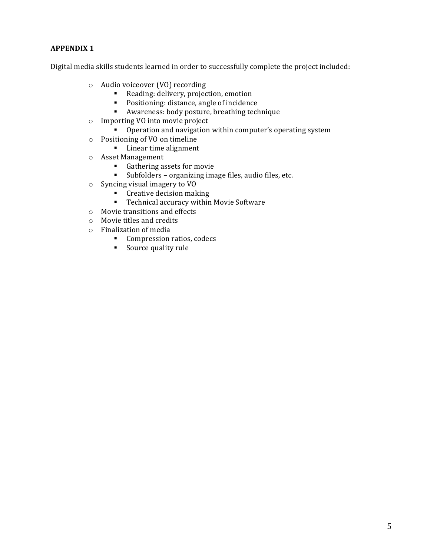### **APPENDIX 1**

Digital media skills students learned in order to successfully complete the project included:

- o Audio voiceover (VO) recording
	- Reading: delivery, projection, emotion
	- Positioning: distance, angle of incidence
	- Awareness: body posture, breathing technique
- $\circ$  Importing VO into movie project
	- Operation and navigation within computer's operating system
- o Positioning of VO on timeline
	- Linear time alignment
- o Asset Management
	- Gathering assets for movie
	- <sup>■</sup> Subfolders organizing image files, audio files, etc.
- $\circ$  Syncing visual imagery to VO
	- Creative decision making
	- Technical accuracy within Movie Software
- $\circ$  Movie transitions and effects
- $\circ$  Movie titles and credits
- $\circ$  Finalization of media
	- Compression ratios, codecs
	- Source quality rule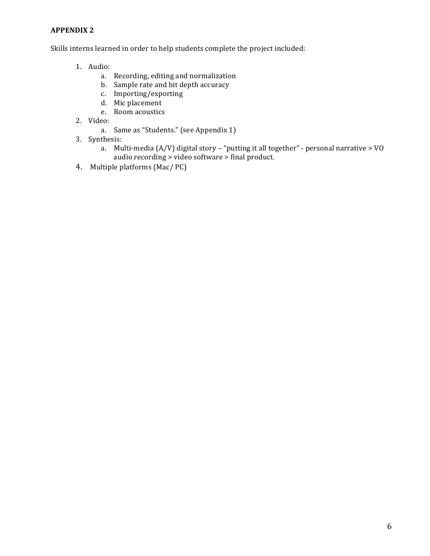#### **APPENDIX 2**

Skills interns learned in order to help students complete the project included:

- 1. Audio:
	- a. Recording, editing and normalization
	- b. Sample rate and bit depth accuracy
	- c. Importing/exporting
	- d. Mic placement
	- e. Room acoustics
- 2. Video:
	- a. Same as "Students." (see Appendix 1)
- 3. Synthesis:
	- a. Multi-media (A/V) digital story "putting it all together" personal narrative > VO audio recording > video software > final product.
- 4. Multiple platforms (Mac/ PC)